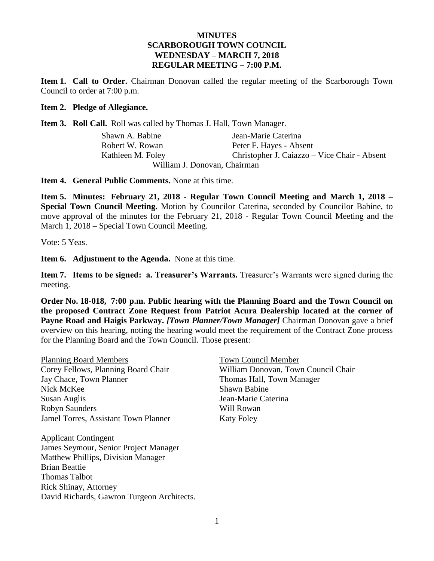#### **MINUTES SCARBOROUGH TOWN COUNCIL WEDNESDAY – MARCH 7, 2018 REGULAR MEETING – 7:00 P.M.**

**Item 1. Call to Order.** Chairman Donovan called the regular meeting of the Scarborough Town Council to order at 7:00 p.m.

#### **Item 2. Pledge of Allegiance.**

**Item 3. Roll Call.** Roll was called by Thomas J. Hall, Town Manager.

Shawn A. Babine Jean-Marie Caterina Robert W. Rowan Peter F. Hayes - Absent Kathleen M. Foley Christopher J. Caiazzo – Vice Chair - Absent William J. Donovan, Chairman

**Item 4. General Public Comments.** None at this time.

**Item 5. Minutes: February 21, 2018 - Regular Town Council Meeting and March 1, 2018 – Special Town Council Meeting.** Motion by Councilor Caterina, seconded by Councilor Babine, to move approval of the minutes for the February 21, 2018 - Regular Town Council Meeting and the March 1, 2018 – Special Town Council Meeting.

Vote: 5 Yeas.

**Item 6. Adjustment to the Agenda.** None at this time.

**Item 7. Items to be signed: a. Treasurer's Warrants.** Treasurer's Warrants were signed during the meeting.

**Order No. 18-018, 7:00 p.m. Public hearing with the Planning Board and the Town Council on the proposed Contract Zone Request from Patriot Acura Dealership located at the corner of Payne Road and Haigis Parkway.** *[Town Planner/Town Manager]* Chairman Donovan gave a brief overview on this hearing, noting the hearing would meet the requirement of the Contract Zone process for the Planning Board and the Town Council. Those present:

Planning Board Members Town Council Member Jay Chace, Town Planner Thomas Hall, Town Manager Nick McKee Shawn Babine Susan Auglis Jean-Marie Caterina Robyn Saunders Will Rowan Jamel Torres, Assistant Town Planner Katy Foley

Applicant Contingent James Seymour, Senior Project Manager Matthew Phillips, Division Manager Brian Beattie Thomas Talbot Rick Shinay, Attorney David Richards, Gawron Turgeon Architects.

Corey Fellows, Planning Board Chair William Donovan, Town Council Chair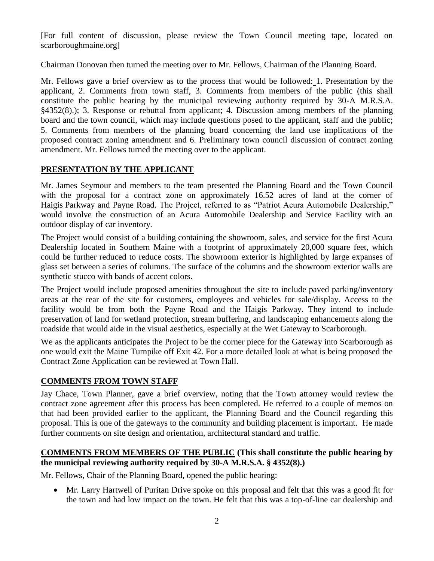[For full content of discussion, please review the Town Council meeting tape, located on scarboroughmaine.org]

Chairman Donovan then turned the meeting over to Mr. Fellows, Chairman of the Planning Board.

Mr. Fellows gave a brief overview as to the process that would be followed: 1. Presentation by the applicant, 2. Comments from town staff, 3. Comments from members of the public (this shall constitute the public hearing by the municipal reviewing authority required by 30-A M.R.S.A. §4352(8).); 3. Response or rebuttal from applicant; 4. Discussion among members of the planning board and the town council, which may include questions posed to the applicant, staff and the public; 5. Comments from members of the planning board concerning the land use implications of the proposed contract zoning amendment and 6. Preliminary town council discussion of contract zoning amendment. Mr. Fellows turned the meeting over to the applicant.

# **PRESENTATION BY THE APPLICANT**

Mr. James Seymour and members to the team presented the Planning Board and the Town Council with the proposal for a contract zone on approximately 16.52 acres of land at the corner of Haigis Parkway and Payne Road. The Project, referred to as "Patriot Acura Automobile Dealership," would involve the construction of an Acura Automobile Dealership and Service Facility with an outdoor display of car inventory.

The Project would consist of a building containing the showroom, sales, and service for the first Acura Dealership located in Southern Maine with a footprint of approximately 20,000 square feet, which could be further reduced to reduce costs. The showroom exterior is highlighted by large expanses of glass set between a series of columns. The surface of the columns and the showroom exterior walls are synthetic stucco with bands of accent colors.

The Project would include proposed amenities throughout the site to include paved parking/inventory areas at the rear of the site for customers, employees and vehicles for sale/display. Access to the facility would be from both the Payne Road and the Haigis Parkway. They intend to include preservation of land for wetland protection, stream buffering, and landscaping enhancements along the roadside that would aide in the visual aesthetics, especially at the Wet Gateway to Scarborough.

We as the applicants anticipates the Project to be the corner piece for the Gateway into Scarborough as one would exit the Maine Turnpike off Exit 42. For a more detailed look at what is being proposed the Contract Zone Application can be reviewed at Town Hall.

# **COMMENTS FROM TOWN STAFF**

Jay Chace, Town Planner, gave a brief overview, noting that the Town attorney would review the contract zone agreement after this process has been completed. He referred to a couple of memos on that had been provided earlier to the applicant, the Planning Board and the Council regarding this proposal. This is one of the gateways to the community and building placement is important. He made further comments on site design and orientation, architectural standard and traffic.

# **COMMENTS FROM MEMBERS OF THE PUBLIC (This shall constitute the public hearing by the municipal reviewing authority required by 30-A M.R.S.A. § 4352(8).)**

Mr. Fellows, Chair of the Planning Board, opened the public hearing:

 Mr. Larry Hartwell of Puritan Drive spoke on this proposal and felt that this was a good fit for the town and had low impact on the town. He felt that this was a top-of-line car dealership and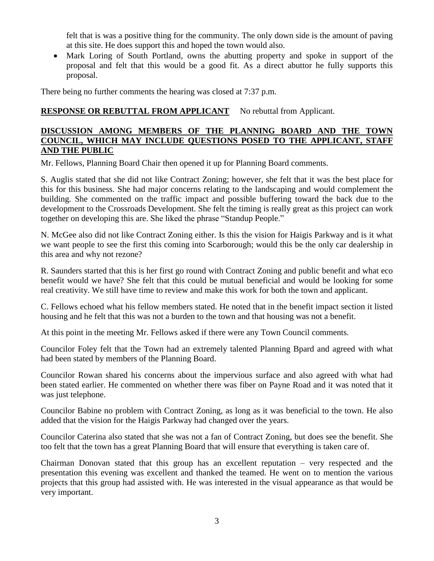felt that is was a positive thing for the community. The only down side is the amount of paving at this site. He does support this and hoped the town would also.

• Mark Loring of South Portland, owns the abutting property and spoke in support of the proposal and felt that this would be a good fit. As a direct abuttor he fully supports this proposal.

There being no further comments the hearing was closed at 7:37 p.m.

# **RESPONSE OR REBUTTAL FROM APPLICANT** No rebuttal from Applicant.

# **DISCUSSION AMONG MEMBERS OF THE PLANNING BOARD AND THE TOWN COUNCIL, WHICH MAY INCLUDE QUESTIONS POSED TO THE APPLICANT, STAFF AND THE PUBLIC**

Mr. Fellows, Planning Board Chair then opened it up for Planning Board comments.

S. Auglis stated that she did not like Contract Zoning; however, she felt that it was the best place for this for this business. She had major concerns relating to the landscaping and would complement the building. She commented on the traffic impact and possible buffering toward the back due to the development to the Crossroads Development. She felt the timing is really great as this project can work together on developing this are. She liked the phrase "Standup People."

N. McGee also did not like Contract Zoning either. Is this the vision for Haigis Parkway and is it what we want people to see the first this coming into Scarborough; would this be the only car dealership in this area and why not rezone?

R. Saunders started that this is her first go round with Contract Zoning and public benefit and what eco benefit would we have? She felt that this could be mutual beneficial and would be looking for some real creativity. We still have time to review and make this work for both the town and applicant.

C. Fellows echoed what his fellow members stated. He noted that in the benefit impact section it listed housing and he felt that this was not a burden to the town and that housing was not a benefit.

At this point in the meeting Mr. Fellows asked if there were any Town Council comments.

Councilor Foley felt that the Town had an extremely talented Planning Bpard and agreed with what had been stated by members of the Planning Board.

Councilor Rowan shared his concerns about the impervious surface and also agreed with what had been stated earlier. He commented on whether there was fiber on Payne Road and it was noted that it was just telephone.

Councilor Babine no problem with Contract Zoning, as long as it was beneficial to the town. He also added that the vision for the Haigis Parkway had changed over the years.

Councilor Caterina also stated that she was not a fan of Contract Zoning, but does see the benefit. She too felt that the town has a great Planning Board that will ensure that everything is taken care of.

Chairman Donovan stated that this group has an excellent reputation – very respected and the presentation this evening was excellent and thanked the teamed. He went on to mention the various projects that this group had assisted with. He was interested in the visual appearance as that would be very important.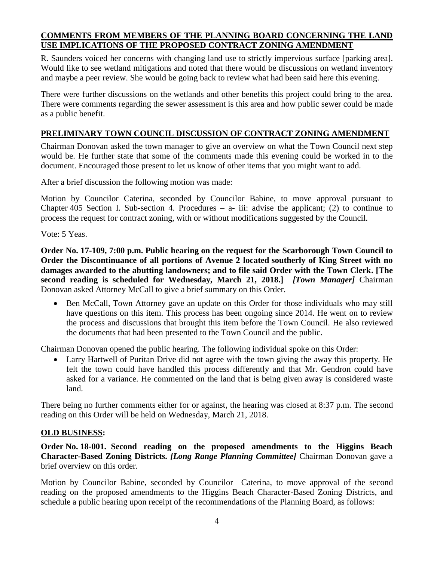# **COMMENTS FROM MEMBERS OF THE PLANNING BOARD CONCERNING THE LAND USE IMPLICATIONS OF THE PROPOSED CONTRACT ZONING AMENDMENT**

R. Saunders voiced her concerns with changing land use to strictly impervious surface [parking area]. Would like to see wetland mitigations and noted that there would be discussions on wetland inventory and maybe a peer review. She would be going back to review what had been said here this evening.

There were further discussions on the wetlands and other benefits this project could bring to the area. There were comments regarding the sewer assessment is this area and how public sewer could be made as a public benefit.

# **PRELIMINARY TOWN COUNCIL DISCUSSION OF CONTRACT ZONING AMENDMENT**

Chairman Donovan asked the town manager to give an overview on what the Town Council next step would be. He further state that some of the comments made this evening could be worked in to the document. Encouraged those present to let us know of other items that you might want to add.

After a brief discussion the following motion was made:

Motion by Councilor Caterina, seconded by Councilor Babine, to move approval pursuant to Chapter 405 Section I. Sub-section 4. Procedures  $-$  a- iii: advise the applicant; (2) to continue to process the request for contract zoning, with or without modifications suggested by the Council.

Vote: 5 Yeas.

**Order No. 17-109, 7:00 p.m. Public hearing on the request for the Scarborough Town Council to Order the Discontinuance of all portions of Avenue 2 located southerly of King Street with no damages awarded to the abutting landowners; and to file said Order with the Town Clerk. [The second reading is scheduled for Wednesday, March 21, 2018.]** *[Town Manager]* Chairman Donovan asked Attorney McCall to give a brief summary on this Order.

• Ben McCall, Town Attorney gave an update on this Order for those individuals who may still have questions on this item. This process has been ongoing since 2014. He went on to review the process and discussions that brought this item before the Town Council. He also reviewed the documents that had been presented to the Town Council and the public.

Chairman Donovan opened the public hearing. The following individual spoke on this Order:

• Larry Hartwell of Puritan Drive did not agree with the town giving the away this property. He felt the town could have handled this process differently and that Mr. Gendron could have asked for a variance. He commented on the land that is being given away is considered waste land.

There being no further comments either for or against, the hearing was closed at 8:37 p.m. The second reading on this Order will be held on Wednesday, March 21, 2018.

# **OLD BUSINESS:**

**Order No. 18-001. Second reading on the proposed amendments to the Higgins Beach Character-Based Zoning Districts.** *[Long Range Planning Committee]* Chairman Donovan gave a brief overview on this order.

Motion by Councilor Babine, seconded by Councilor Caterina, to move approval of the second reading on the proposed amendments to the Higgins Beach Character-Based Zoning Districts, and schedule a public hearing upon receipt of the recommendations of the Planning Board, as follows: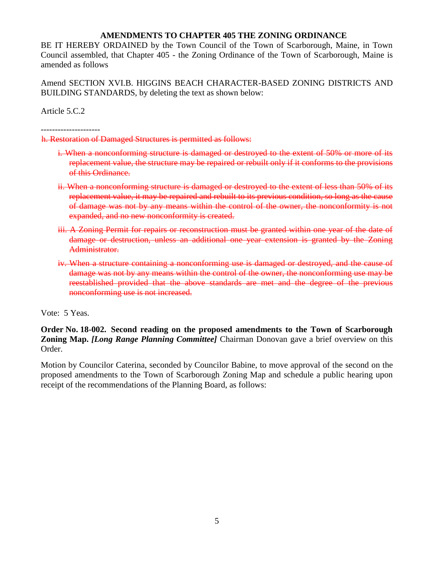#### **AMENDMENTS TO CHAPTER 405 THE ZONING ORDINANCE**

BE IT HEREBY ORDAINED by the Town Council of the Town of Scarborough, Maine, in Town Council assembled, that Chapter 405 - the Zoning Ordinance of the Town of Scarborough, Maine is amended as follows

Amend SECTION XVI.B. HIGGINS BEACH CHARACTER-BASED ZONING DISTRICTS AND BUILDING STANDARDS, by deleting the text as shown below:

Article 5.C.2

---------------------

h. Restoration of Damaged Structures is permitted as follows:

- i. When a nonconforming structure is damaged or destroyed to the extent of 50% or more of its replacement value, the structure may be repaired or rebuilt only if it conforms to the provisions of this Ordinance.
- ii. When a nonconforming structure is damaged or destroyed to the extent of less than 50% of its replacement value, it may be repaired and rebuilt to its previous condition, so long as the cause of damage was not by any means within the control of the owner, the nonconformity is not expanded, and no new nonconformity is created.
- iii. A Zoning Permit for repairs or reconstruction must be granted within one year of the date of damage or destruction, unless an additional one year extension is granted by the Zoning Administrator.
- iv. When a structure containing a nonconforming use is damaged or destroyed, and the cause of damage was not by any means within the control of the owner, the nonconforming use may be reestablished provided that the above standards are met and the degree of the previous nonconforming use is not increased.

Vote: 5 Yeas.

**Order No. 18-002. Second reading on the proposed amendments to the Town of Scarborough Zoning Map.** *[Long Range Planning Committee]* Chairman Donovan gave a brief overview on this Order.

Motion by Councilor Caterina, seconded by Councilor Babine, to move approval of the second on the proposed amendments to the Town of Scarborough Zoning Map and schedule a public hearing upon receipt of the recommendations of the Planning Board, as follows: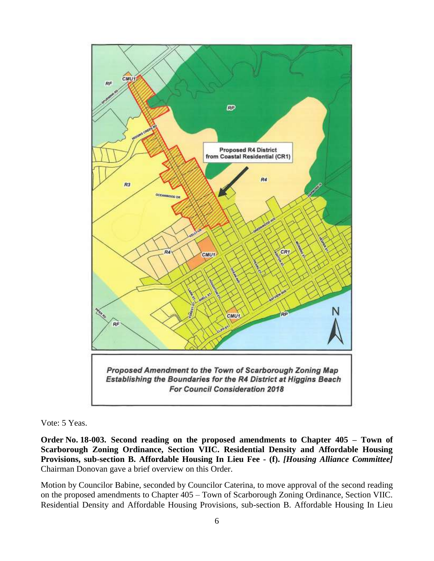

Vote: 5 Yeas.

**Order No. 18-003. Second reading on the proposed amendments to Chapter 405 – Town of Scarborough Zoning Ordinance, Section VIIC. Residential Density and Affordable Housing Provisions, sub-section B. Affordable Housing In Lieu Fee - (f).** *[Housing Alliance Committee]* Chairman Donovan gave a brief overview on this Order.

Motion by Councilor Babine, seconded by Councilor Caterina, to move approval of the second reading on the proposed amendments to Chapter 405 – Town of Scarborough Zoning Ordinance, Section VIIC. Residential Density and Affordable Housing Provisions, sub-section B. Affordable Housing In Lieu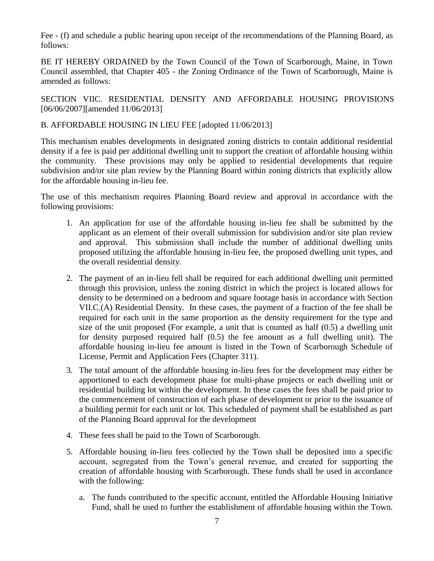Fee - (f) and schedule a public hearing upon receipt of the recommendations of the Planning Board, as follows:

BE IT HEREBY ORDAINED by the Town Council of the Town of Scarborough, Maine, in Town Council assembled, that Chapter 405 - the Zoning Ordinance of the Town of Scarborough, Maine is amended as follows:

SECTION VIIC. RESIDENTIAL DENSITY AND AFFORDABLE HOUSING PROVISIONS [06/06/2007][amended 11/06/2013]

### B. AFFORDABLE HOUSING IN LIEU FEE [adopted 11/06/2013]

This mechanism enables developments in designated zoning districts to contain additional residential density if a fee is paid per additional dwelling unit to support the creation of affordable housing within the community. These provisions may only be applied to residential developments that require subdivision and/or site plan review by the Planning Board within zoning districts that explicitly allow for the affordable housing in-lieu fee.

The use of this mechanism requires Planning Board review and approval in accordance with the following provisions:

- 1. An application for use of the affordable housing in-lieu fee shall be submitted by the applicant as an element of their overall submission for subdivision and/or site plan review and approval. This submission shall include the number of additional dwelling units proposed utilizing the affordable housing in-lieu fee, the proposed dwelling unit types, and the overall residential density.
- 2. The payment of an in-lieu fell shall be required for each additional dwelling unit permitted through this provision, unless the zoning district in which the project is located allows for density to be determined on a bedroom and square footage basis in accordance with Section VII.C.(A) Residential Density. In these cases, the payment of a fraction of the fee shall be required for each unit in the same proportion as the density requirement for the type and size of the unit proposed (For example, a unit that is counted as half (0.5) a dwelling unit for density purposed required half (0.5) the fee amount as a full dwelling unit). The affordable housing in-lieu fee amount is listed in the Town of Scarborough Schedule of License, Permit and Application Fees (Chapter 311).
- 3. The total amount of the affordable housing in-lieu fees for the development may either be apportioned to each development phase for multi-phase projects or each dwelling unit or residential building lot within the development. In these cases the fees shall be paid prior to the commencement of construction of each phase of development or prior to the issuance of a building permit for each unit or lot. This scheduled of payment shall be established as part of the Planning Board approval for the development
- 4. These fees shall be paid to the Town of Scarborough.
- 5. Affordable housing in-lieu fees collected by the Town shall be deposited into a specific account, segregated from the Town's general revenue, and created for supporting the creation of affordable housing with Scarborough. These funds shall be used in accordance with the following:
	- a. The funds contributed to the specific account, entitled the Affordable Housing Initiative Fund, shall be used to further the establishment of affordable housing within the Town.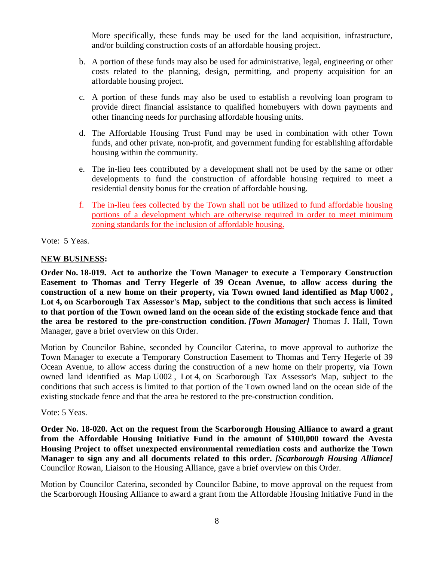More specifically, these funds may be used for the land acquisition, infrastructure, and/or building construction costs of an affordable housing project.

- b. A portion of these funds may also be used for administrative, legal, engineering or other costs related to the planning, design, permitting, and property acquisition for an affordable housing project.
- c. A portion of these funds may also be used to establish a revolving loan program to provide direct financial assistance to qualified homebuyers with down payments and other financing needs for purchasing affordable housing units.
- d. The Affordable Housing Trust Fund may be used in combination with other Town funds, and other private, non-profit, and government funding for establishing affordable housing within the community.
- e. The in-lieu fees contributed by a development shall not be used by the same or other developments to fund the construction of affordable housing required to meet a residential density bonus for the creation of affordable housing.
- f. The in-lieu fees collected by the Town shall not be utilized to fund affordable housing portions of a development which are otherwise required in order to meet minimum zoning standards for the inclusion of affordable housing.

Vote: 5 Yeas.

#### **NEW BUSINESS:**

**Order No. 18-019. Act to authorize the Town Manager to execute a Temporary Construction Easement to Thomas and Terry Hegerle of 39 Ocean Avenue, to allow access during the construction of a new home on their property, via Town owned land identified as Map U002 , Lot 4, on Scarborough Tax Assessor's Map, subject to the conditions that such access is limited to that portion of the Town owned land on the ocean side of the existing stockade fence and that the area be restored to the pre-construction condition.** *[Town Manager]* Thomas J. Hall, Town Manager, gave a brief overview on this Order.

Motion by Councilor Babine, seconded by Councilor Caterina, to move approval to authorize the Town Manager to execute a Temporary Construction Easement to Thomas and Terry Hegerle of 39 Ocean Avenue, to allow access during the construction of a new home on their property, via Town owned land identified as Map U002 , Lot 4, on Scarborough Tax Assessor's Map, subject to the conditions that such access is limited to that portion of the Town owned land on the ocean side of the existing stockade fence and that the area be restored to the pre-construction condition.

#### Vote: 5 Yeas.

**Order No. 18-020. Act on the request from the Scarborough Housing Alliance to award a grant from the Affordable Housing Initiative Fund in the amount of \$100,000 toward the Avesta Housing Project to offset unexpected environmental remediation costs and authorize the Town Manager to sign any and all documents related to this order.** *[Scarborough Housing Alliance]* Councilor Rowan, Liaison to the Housing Alliance, gave a brief overview on this Order.

Motion by Councilor Caterina, seconded by Councilor Babine, to move approval on the request from the Scarborough Housing Alliance to award a grant from the Affordable Housing Initiative Fund in the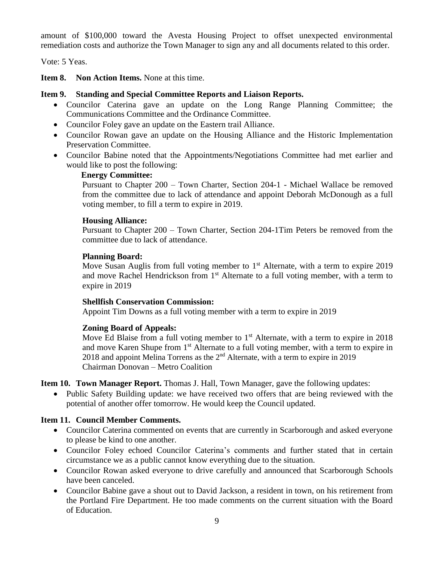amount of \$100,000 toward the Avesta Housing Project to offset unexpected environmental remediation costs and authorize the Town Manager to sign any and all documents related to this order.

Vote: 5 Yeas.

**Item 8. Non Action Items.** None at this time.

### **Item 9. Standing and Special Committee Reports and Liaison Reports.**

- Councilor Caterina gave an update on the Long Range Planning Committee; the Communications Committee and the Ordinance Committee.
- Councilor Foley gave an update on the Eastern trail Alliance.
- Councilor Rowan gave an update on the Housing Alliance and the Historic Implementation Preservation Committee.
- Councilor Babine noted that the Appointments/Negotiations Committee had met earlier and would like to post the following:

### **Energy Committee:**

Pursuant to Chapter 200 – Town Charter, Section 204-1 - Michael Wallace be removed from the committee due to lack of attendance and appoint Deborah McDonough as a full voting member, to fill a term to expire in 2019.

#### **Housing Alliance:**

Pursuant to Chapter 200 – Town Charter, Section 204-1Tim Peters be removed from the committee due to lack of attendance.

#### **Planning Board:**

Move Susan Auglis from full voting member to  $1<sup>st</sup>$  Alternate, with a term to expire 2019 and move Rachel Hendrickson from  $1<sup>st</sup>$  Alternate to a full voting member, with a term to expire in 2019

#### **Shellfish Conservation Commission:**

Appoint Tim Downs as a full voting member with a term to expire in 2019

# **Zoning Board of Appeals:**

Move Ed Blaise from a full voting member to  $1<sup>st</sup>$  Alternate, with a term to expire in 2018 and move Karen Shupe from 1<sup>st</sup> Alternate to a full voting member, with a term to expire in 2018 and appoint Melina Torrens as the  $2<sup>nd</sup>$  Alternate, with a term to expire in 2019 Chairman Donovan – Metro Coalition

**Item 10. Town Manager Report.** Thomas J. Hall, Town Manager, gave the following updates:

• Public Safety Building update: we have received two offers that are being reviewed with the potential of another offer tomorrow. He would keep the Council updated.

# **Item 11. Council Member Comments.**

- Councilor Caterina commented on events that are currently in Scarborough and asked everyone to please be kind to one another.
- Councilor Foley echoed Councilor Caterina's comments and further stated that in certain circumstance we as a public cannot know everything due to the situation.
- Councilor Rowan asked everyone to drive carefully and announced that Scarborough Schools have been canceled.
- Councilor Babine gave a shout out to David Jackson, a resident in town, on his retirement from the Portland Fire Department. He too made comments on the current situation with the Board of Education.